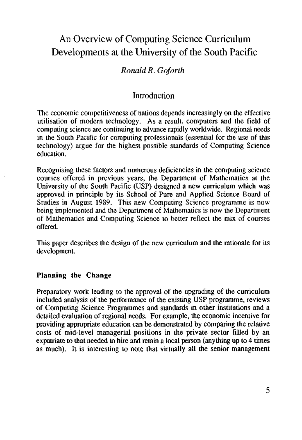# An Overview of Computing Science Curriculum Developments at the University of the South Pacific

# *Ronald R. Goforth*

# **Introduction**

The economic competitiveness of nations depends increasingly on the effective utilisation of modern technology. As a result, computers and the field of computing science are continuing to advance rapidly worldwide. Regional needs in the South Pacific for computing professionals (essential for the use of this technology) argue for the highest possible standards of Computing Science education.

Recognising these factors and numerous deficiencies in the computing science courses offered in previous years, the Department of Mathematics at the University of the South Pacific (USP) designed a new curriculum which was approved in principle by its School of Pure and Applied Science Board of Studies in August 1989. This new Computing Science programme is now being implemented and the Department of Mathematics is now the Department of Mathematics and Computing Science to better reflect the mix of courses offered.

This paper describes the design of the new curriculum and the rationale for its development.

#### **Planning the Change**

Preparatory work leading to the approval of the upgrading of the curriculum included analysis of the performance of the existing USP programme, reviews of Computing Science Programmes and standards in other institutions and a detailed evaluation of regional needs. For example, the economic incentive for providing appropriate education can be demonstrated by comparing the relative costs of mid-level managerial positions in the private sector filled by an expatriate to that needed to hire and retain a local person (anything up to 4 times as much). It is interesting to note that virtually all the senior management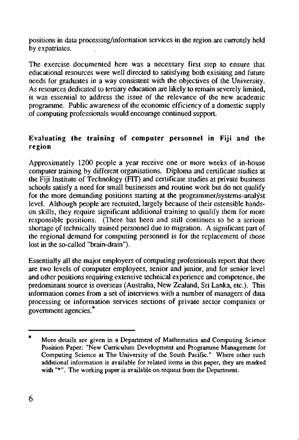positions in data processing/information services in the region are currently held by expatriates.

The exercise documented here was a necessary first step to ensure that educational resources were well directed to satisfying both exisiting and future needs for graduates in a way consistent with the objectives of the University. As resources dedicated to tertiary education are likely to remain severely limited, it was essential to address the issue of the relevance of the new academic programme. Public awareness of the economic efficiency of a domestic supply of computing professionals would encourage continued support.

# **Evaluating the training of computer personnel in Fiji and the region**

Approximately 1200 people a year receive one or more weeks of in-house computer training by different organisations. Diploma and certificate studies at the Fiji Institute of Technology (FIT) and certificate studies at private business schools satisfy a need for small businesses and routine work but do not qualify for the more demanding positions starting at the programmer/systems-analyst level. Although people are recruited, largely because of their ostensible handson skills, they require significant additional training to qualify them for more responsible positions. (There bas been and still continues to be a serious shortage of technically trained personnel due to migration. A significant part of the regional demand for computing personnel is for the replacement of those lost in the so-called "brain-drain").

Essentially all the major employers of computing professionals report that there are two levels of computer employees, senior and junior, and for senior level and other positions requiring extensive technical experience and competence, the predominant source is overseas (Australia, New Zealand, Sri Lanka, etc.). This information comes from a set of interviews. with a number of managers of data processing or information services sections of private sector companies or government agencies.\*

More details are given in a Department of Mathematics and Computing Science Position Paper: "New Curriculum Development and Programme Management for Computing Science at The University of the.South Pacific." Where other such additional information is available for related items in this paper, they are marked with "\*". The working paper is available on request from the Department.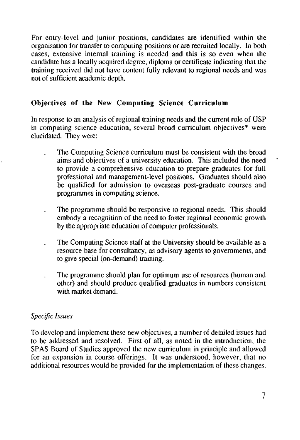For entry-level and junior positions, candidates are identified within the organisation for transfer to computing positions or are recruited locally. In both cases, extensive internal training is needed and this is so even when the candidate has a locally acquired degree, diploma or certificate indicating that the training received did not have content fully relevant to regional needs and was not of sufficient academic depth.

# **Objectives of the New Computing Science Curriculum**

In response to an analysis of regional training needs and the current role of USP in computing science education, several broad curriculum objectives\* were elucidated. They were:

- The Computing Science curriculum must be consistent with the broad aims and objectives of a university education. This included the need to provide a comprehensive education to prepare graduates for full professional and management-level positions. Graduates should also be qualified for admission to overseas post-graduate courses and programmes in computing science.
- The programme should be responsive to regional needs. This should embody a recognition of the need to foster regional economic growth by the appropriate education of computer professionals.
- The Computing Science staff at the University should be available as a resource base for consultancy, as advisory agents to governments, and to give special (on-demand) training.
- The programme should plan for optimum use of resources (human and other) and should produce qualified graduates in numbers consistent with market demand.

#### *Specific Issues*

To develop and implement these new objectives, a number of detailed issues had to be addressed and resolved. First of all, as noted in the introduction, the SPAS Board of Studies approved the new curriculum in principle and allowed for an expansion in course offerings. It was understood, however, that no additional resources would be provided for the implementation of these changes.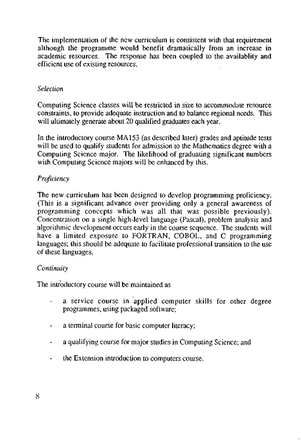The implementation of the new curriculum is consistent with that requirement although the programme would benefit dramatically from an increase in academic resources. The response has been coupled to the availablity and efficient use of existing resources.

#### *Selection*

Computing Science classes will be restricted in size to accommodate resource constraints, to provide adequate instruction and to balance regional needs. This will ultimately generate about 20 qualified graduates each year.

In the introductory course MA 153 (as described later) grades and aptitude tests will be used to qualify students for admission to the Mathematics degree with a Computing Science major. The likelihood of graduating significant numbers with Computing Science majors will be enhanced by this.

#### *Proficiency*

The new curriculum has been designed to develop programming proficiency. (This is a significant advance over providing only a general awareness of programming concepts which was all that was possible previously). Concentration on a single high-level language (Pascal), problem analysis and algorithmic development occurs early in the course sequence. The students will have a limited exposure to FORTRAN, COBOL, and C programming languages; this should be adequate to facilitate professional transition to the use of these languages.

#### *Continuity*

The introductory course will be maintained as

- a service course in applied computer skills for other degree programmes, using packaged software;
- a terminal course for basic computer literacy;  $\overline{\phantom{a}}$
- a qualifying course for major studies in Computing Science; and ÷
- the Extension introduction to computers course.  $\overline{\phantom{a}}$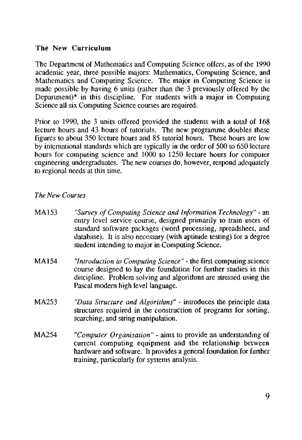# **The New Curriculum**

The Department of Mathematics and Computing Science offers, as of the 1990 academic year, three possible majors: Mathematics, Computing Science, and Mathematics and Computing Science. The major in Computing Science is made possible by having 6 units (rather than the 3 previously offered by the Department)\* in this discipline. For students with a major in Computing Science all six Computing Science courses are required.

Prior to 1990, the 3 units offered provided the students with a total of 168 lecture hours and 43 hours of tutorials. The new programme doubles these figures to about 350 lecture hours and 85 tutorial hours. These hours are low by international standards which are typically in the order of 500 to 650 lecture hours for computing science and 1000 to 1250 lecture hours for computer engineering undergraduates. The new courses do, however, respond adequately to regional needs at this time.

## *The New Courses*

- MA153 *"Survey of Computing Science and Information Technology" -* an entry level service course, designed primarily to train users of standard software packages (word processing, spreadsheet, and database). It is also necessary (with aptitude testing) for a degree student intending to major in Computing Science.
- MA154 *"Introduction to Computing Science" -* the first computing science course designed to lay the foundation for further studies in this discipline. Problem solving and algorithms are stressed using the Pascal modern high level language.
- MA253 *"Data Structure and Algorithms"* introduces the principle data structures required in the construction of programs for sorting, searching, and string manipulation.
- MA254 *"Computer Organisation" -* aims to provide an understanding of current computing equipment and the relationship between hardware and software. It provides a general foundation for further training, particularly for systems analysis.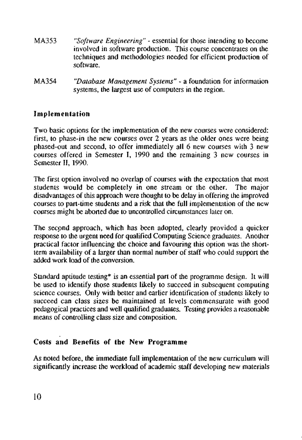- MA353 *"Software Engineering" -* essential for those intending to become involved in software production. This course concentrates on the techniques and methodologies needed for efficient production of software.
- MA354 *"Database Management Systems"* a foundation for information systems, the largest use of computers in the region.

# **Implementation**

Two basic options for the implementation of the new courses were considered: first, to phase-in the new courses over 2 years as the older ones were being phased-out and second, to offer immediately all 6 new courses with 3 new courses offered in Semester I, 1990 and the remaining 3 new courses in Semester II, 1990.

The first option involved no overlap of courses with the expectation that most students would be completely in one stream or the other. The major disadvantages of this approach were thought to be delay in offering the improved courses to part-time students and a risk that the full implementation of the new courses might be aborted due to uncontrolled circumstances later on.

The second approach, which has been adopted, clearly provided a quicker response to the urgent need for qualified Computing Science graduates. Another practical factor influencing the choice and favouring this option was the shortterm availability of a larger than normal number of staff who could support the added work load of the conversion.

Standard aptitude testing\* is an essential part of the programme design. It will be used to identify those students likely to succeed in subsequent computing science courses. Only with better and earlier identification of students likely to succeed can class sizes be maintained at levels commensurate with good pedagogical practices and well qualified graduates. Testing provides a reasonable means of controlling class size and composition.

# **Costs and Benefits of the New Programme**

As noted before, the immediate full implementation of the new curriculum will significantly increase the workload of academic staff developing new materials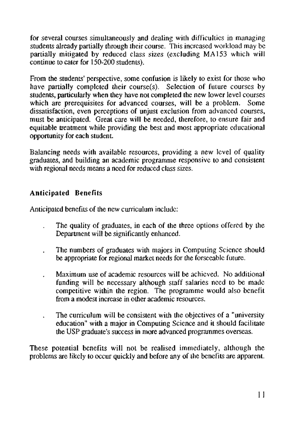for several courses simultaneously and dealing with difficulties in managing students already partially through their course. This increased workload may be partially mitigated by reduced class sizes (excluding MA153 which will continue to cater for 150-200 students).

From the students' perspective, some confusion is likely to exist for those who have partially completed their course(s). Selection of future courses by students, particularly when they have not completed the new lower level courses which are prerequisites for advanced courses, will be a problem. Some dissatisfaction, even perceptions of unjust exclusion from advanced courses, must be anticipated. Great care will be needed, therefore, to ensure fair and equitable treatment while providing the best and most appropriate educational opportunity for each student.

Balancing needs with available resources, providing a new level of quality graduates, and building an academic programme responsive to and consistent with regional needs means a need for reduced class sizes.

# **Anticipated Benefits**

Anticipated benefits of the new curriculum include:

- The quality of graduates, in each of the three options offered by the  $\overline{a}$ Department will be significantly enhanced.
- The numbers of graduates with majors in Computing Science should be appropriate for regional market needs for the forseeable future.
- Maximum use of academic resources will be achieved. No additional funding will be necessary although staff salaries need to be made competitive within the region. The programme would also benefit from a modest increase in other academic resources.
- The curriculum will be consistent with the objectives of a "university education" with a major in Computing Science and it should facilitate the USP graduate's success in more advanced programmes overseas.

These potential benefits will not be realised immediately, although the problems are likely to occur quickly and before any of the benefits are apparent.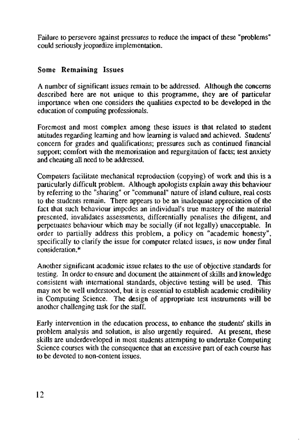Failure to persevere against pressures to reduce the impact of these "problems" could seriously jeopardize implementation.

# **Some Remaining Issues**

A number of significant issues remain to be addressed. Although the concerns described here are not unique to this programme, they are of particular importance when one considers the qualities expected to be developed in the education of computing professionals.

Foremost and most complex among these issues is that related to student attitudes regarding learning and how learning is valued and achieved. Students' concern for grades and qualifications; pressures such as continued financial support; comfort with the memorisation and regurgitation of facts; test anxiety and cheating all need to be addressed.

Computers facilitate mechanical reproduction (copying) of work and this is a particularly difficult problem. Although apologists explain away this behaviour by referring to the "sharing" or "communal" nature of island culture, real costs to the students remain. There appears to be an inadequate appreciation of the fact that such behaviour impedes an individual's true mastery of the material presented, invalidates assessments, differentially penalises the diligent, and perpetuates behaviour which may be socially (if not legally) unacceptable. In order to partially address this problem, a policy on "academic honesty", specifically to clarify the issue for computer related issues, is now under final consideration.\*

Another significant academic issue relates to the use of objective standards for testing. In order to ensure and document the attainment of skills and knowledge consistent with international standards, objective testing will be used. This may not be well understood, but it is essential to establish academic credibility in Computing Science. The design of appropriate test instruments will be another challenging task for the staff.

Early intervention in the education process, to enhance the students' skills in problem analysis and solution, is also urgently required. At present, these skills are underdeveloped in most students attempting to undertake Computing Science courses with the consequence that an excessive part of each course has to be devoted to non-content issues.